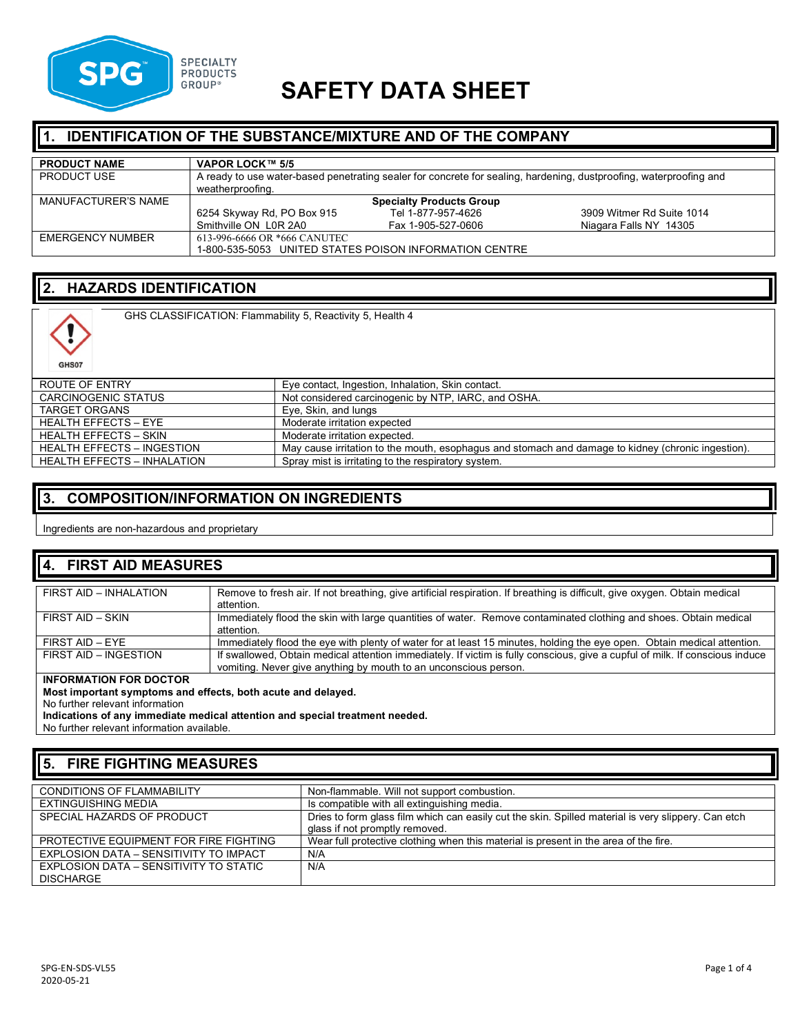

# **SAFETY DATA SHEET**

### **1. IDENTIFICATION OF THE SUBSTANCE/MIXTURE AND OF THE COMPANY**

| <b>PRODUCT NAME</b> | VAPOR LOCK™ 5/5                                                                                                                        |                                 |                           |
|---------------------|----------------------------------------------------------------------------------------------------------------------------------------|---------------------------------|---------------------------|
| <b>PRODUCT USE</b>  | A ready to use water-based penetrating sealer for concrete for sealing, hardening, dustproofing, waterproofing and<br>weatherproofing. |                                 |                           |
| MANUFACTURER'S NAME |                                                                                                                                        | <b>Specialty Products Group</b> |                           |
|                     | 6254 Skyway Rd, PO Box 915                                                                                                             | Tel 1-877-957-4626              | 3909 Witmer Rd Suite 1014 |
|                     | Smithville ON L0R 2A0                                                                                                                  | Fax 1-905-527-0606              | Niagara Falls NY 14305    |
| EMERGENCY NUMBER    | 613-996-6666 OR *666 CANUTEC                                                                                                           |                                 |                           |
|                     | 1-800-535-5053 UNITED STATES POISON INFORMATION CENTRE                                                                                 |                                 |                           |

# **2. HAZARDS IDENTIFICATION**

GHS CLASSIFICATION: Flammability 5, Reactivity 5, Health 4



| ROUTE OF ENTRY                     | Eye contact, Ingestion, Inhalation, Skin contact.                                                  |
|------------------------------------|----------------------------------------------------------------------------------------------------|
| CARCINOGENIC STATUS                | Not considered carcinogenic by NTP, IARC, and OSHA.                                                |
| <b>TARGET ORGANS</b>               | Eye, Skin, and lungs                                                                               |
| <b>HEALTH EFFECTS - EYE</b>        | Moderate irritation expected                                                                       |
| HEALTH EFFECTS – SKIN              | Moderate irritation expected.                                                                      |
| <b>HEALTH EFFECTS - INGESTION</b>  | May cause irritation to the mouth, esophagus and stomach and damage to kidney (chronic ingestion). |
| <b>HEALTH EFFECTS - INHALATION</b> | Spray mist is irritating to the respiratory system.                                                |

### **3. COMPOSITION/INFORMATION ON INGREDIENTS**

Ingredients are non-hazardous and proprietary

| 4. FIRST AID MEASURES  |                                                                                                                                                                                                  |  |
|------------------------|--------------------------------------------------------------------------------------------------------------------------------------------------------------------------------------------------|--|
| FIRST AID - INHALATION | Remove to fresh air. If not breathing, give artificial respiration. If breathing is difficult, give oxygen. Obtain medical<br>attention.                                                         |  |
| FIRST AID - SKIN       | Immediately flood the skin with large quantities of water. Remove contaminated clothing and shoes. Obtain medical<br>attention.                                                                  |  |
| FIRST AID - EYE        | Immediately flood the eye with plenty of water for at least 15 minutes, holding the eye open. Obtain medical attention.                                                                          |  |
| FIRST AID - INGESTION  | If swallowed, Obtain medical attention immediately. If victim is fully conscious, give a cupful of milk. If conscious induce<br>vomiting. Never give anything by mouth to an unconscious person. |  |

#### **INFORMATION FOR DOCTOR**

**Most important symptoms and effects, both acute and delayed.**

No further relevant information

**Indications of any immediate medical attention and special treatment needed.**

No further relevant information available.

#### **5. FIRE FIGHTING MEASURES**

| <b>CONDITIONS OF FLAMMABILITY</b>      | Non-flammable. Will not support combustion.                                                         |
|----------------------------------------|-----------------------------------------------------------------------------------------------------|
|                                        |                                                                                                     |
| EXTINGUISHING MEDIA                    | Is compatible with all extinguishing media.                                                         |
| SPECIAL HAZARDS OF PRODUCT             | Dries to form glass film which can easily cut the skin. Spilled material is very slippery. Can etch |
|                                        | glass if not promptly removed.                                                                      |
| PROTECTIVE EQUIPMENT FOR FIRE FIGHTING | Wear full protective clothing when this material is present in the area of the fire.                |
| EXPLOSION DATA - SENSITIVITY TO IMPACT | N/A                                                                                                 |
| EXPLOSION DATA – SENSITIVITY TO STATIC | N/A                                                                                                 |
| DISCHARGE                              |                                                                                                     |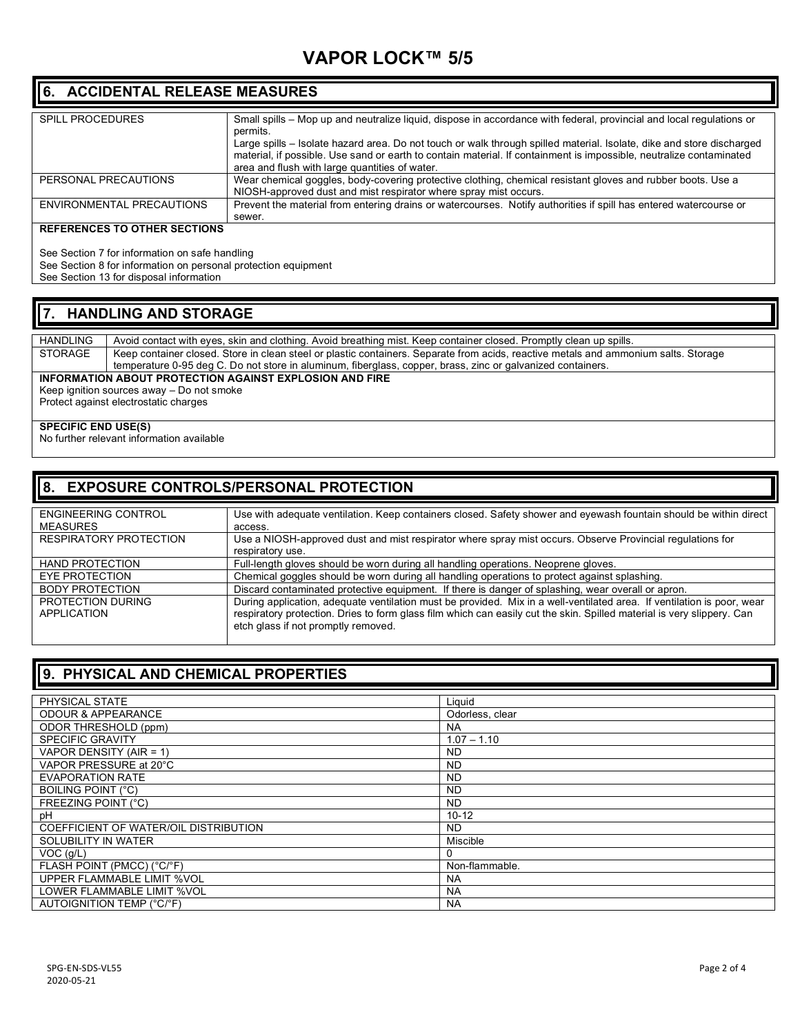# **VAPOR LOCK™ 5/5**

#### **6. ACCIDENTAL RELEASE MEASURES**

| <b>SPILL PROCEDURES</b>   | Small spills – Mop up and neutralize liquid, dispose in accordance with federal, provincial and local requlations or<br>permits.                                                                                                                                                               |
|---------------------------|------------------------------------------------------------------------------------------------------------------------------------------------------------------------------------------------------------------------------------------------------------------------------------------------|
|                           | Large spills – Isolate hazard area. Do not touch or walk through spilled material. Isolate, dike and store discharged<br>material, if possible. Use sand or earth to contain material. If containment is impossible, neutralize contaminated<br>area and flush with large quantities of water. |
| PERSONAL PRECAUTIONS      | Wear chemical goggles, body-covering protective clothing, chemical resistant gloves and rubber boots. Use a<br>NIOSH-approved dust and mist respirator where spray mist occurs.                                                                                                                |
| ENVIRONMENTAL PRECAUTIONS | Prevent the material from entering drains or watercourses. Notify authorities if spill has entered watercourse or<br>sewer.                                                                                                                                                                    |

#### **REFERENCES TO OTHER SECTIONS**

See Section 7 for information on safe handling

See Section 8 for information on personal protection equipment

See Section 13 for disposal information

#### **7. HANDLING AND STORAGE**

HANDLING Avoid contact with eyes, skin and clothing. Avoid breathing mist. Keep container closed. Promptly clean up spills.<br>STORAGE Keep container closed. Store in clean steel or plastic containers. Separate from acids, re Keep container closed. Store in clean steel or plastic containers. Separate from acids, reactive metals and ammonium salts. Storage temperature 0-95 deg C. Do not store in aluminum, fiberglass, copper, brass, zinc or galvanized containers. **INFORMATION ABOUT PROTECTION AGAINST EXPLOSION AND FIRE** Keep ignition sources away – Do not smoke

Protect against electrostatic charges

#### **SPECIFIC END USE(S)**

No further relevant information available

#### **8. EXPOSURE CONTROLS/PERSONAL PROTECTION**

| ENGINEERING CONTROL           | Use with adequate ventilation. Keep containers closed. Safety shower and eyewash fountain should be within direct      |
|-------------------------------|------------------------------------------------------------------------------------------------------------------------|
| <b>MEASURES</b>               | access.                                                                                                                |
| <b>RESPIRATORY PROTECTION</b> | Use a NIOSH-approved dust and mist respirator where spray mist occurs. Observe Provincial regulations for              |
|                               | respiratory use.                                                                                                       |
| <b>HAND PROTECTION</b>        | Full-length gloves should be worn during all handling operations. Neoprene gloves.                                     |
| EYE PROTECTION                | Chemical goggles should be worn during all handling operations to protect against splashing.                           |
| <b>BODY PROTECTION</b>        | Discard contaminated protective equipment. If there is danger of splashing, wear overall or apron.                     |
| <b>PROTECTION DURING</b>      | During application, adequate ventilation must be provided. Mix in a well-ventilated area. If ventilation is poor, wear |
| APPLICATION                   | respiratory protection. Dries to form glass film which can easily cut the skin. Spilled material is very slippery. Can |
|                               | etch glass if not promptly removed.                                                                                    |
|                               |                                                                                                                        |

### **9. PHYSICAL AND CHEMICAL PROPERTIES**

| PHYSICAL STATE                        | Liquid          |
|---------------------------------------|-----------------|
| <b>ODOUR &amp; APPEARANCE</b>         | Odorless, clear |
| ODOR THRESHOLD (ppm)                  | <b>NA</b>       |
| <b>SPECIFIC GRAVITY</b>               | $1.07 - 1.10$   |
| VAPOR DENSITY (AIR = 1)               | ND.             |
| VAPOR PRESSURE at 20°C                | <b>ND</b>       |
| <b>EVAPORATION RATE</b>               | <b>ND</b>       |
| <b>BOILING POINT (°C)</b>             | <b>ND</b>       |
| FREEZING POINT (°C)                   | ND.             |
| pH                                    | $10 - 12$       |
| COEFFICIENT OF WATER/OIL DISTRIBUTION | ND.             |
| SOLUBILITY IN WATER                   | Miscible        |
| VOC(q/L)                              | 0               |
| FLASH POINT (PMCC) (°C/°F)            | Non-flammable.  |
| UPPER FLAMMABLE LIMIT %VOL            | <b>NA</b>       |
| LOWER FLAMMABLE LIMIT %VOL            | NA.             |
| <b>AUTOIGNITION TEMP (°C/°F)</b>      | <b>NA</b>       |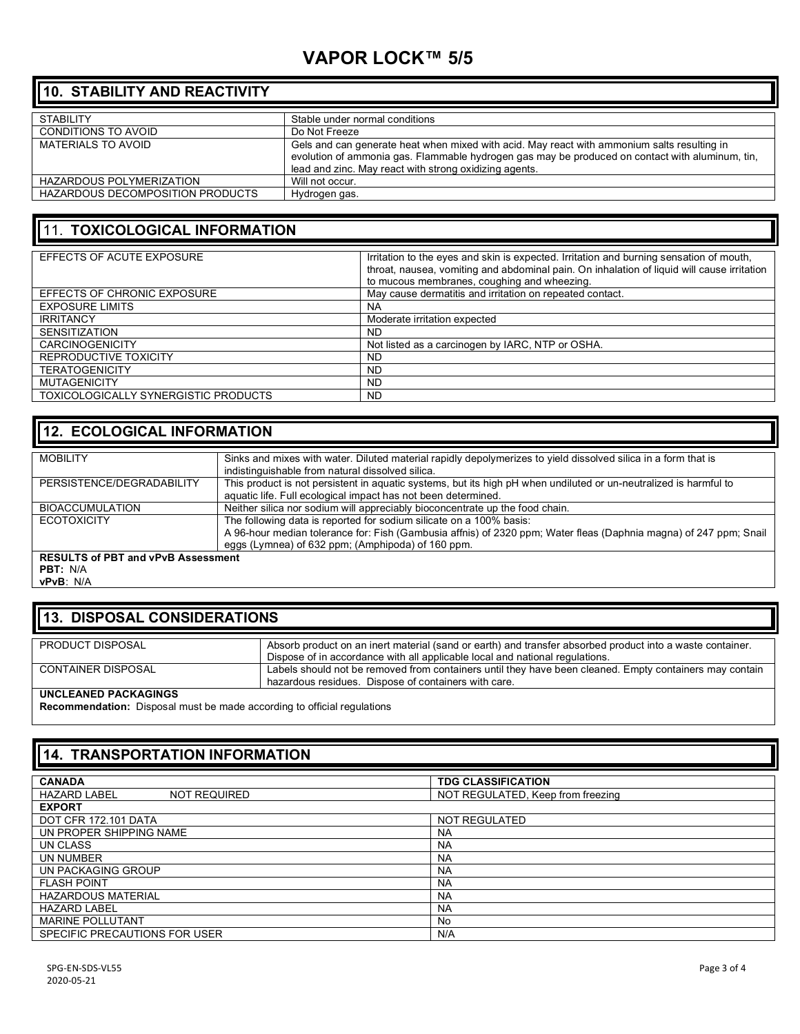# **VAPOR LOCK™ 5/5**

### **10. STABILITY AND REACTIVITY**

| <b>STABILITY</b>                 | Stable under normal conditions                                                                                                                                                                                                                           |
|----------------------------------|----------------------------------------------------------------------------------------------------------------------------------------------------------------------------------------------------------------------------------------------------------|
| CONDITIONS TO AVOID              | Do Not Freeze                                                                                                                                                                                                                                            |
| <b>MATERIALS TO AVOID</b>        | Gels and can generate heat when mixed with acid. May react with ammonium salts resulting in<br>evolution of ammonia gas. Flammable hydrogen gas may be produced on contact with aluminum, tin,<br>lead and zinc. May react with strong oxidizing agents. |
| HAZARDOUS POLYMERIZATION         | Will not occur.                                                                                                                                                                                                                                          |
| HAZARDOUS DECOMPOSITION PRODUCTS | Hydrogen gas.                                                                                                                                                                                                                                            |

#### 11. **TOXICOLOGICAL INFORMATION**

| EFFECTS OF ACUTE EXPOSURE            | Irritation to the eyes and skin is expected. Irritation and burning sensation of mouth,<br>throat, nausea, vomiting and abdominal pain. On inhalation of liquid will cause irritation<br>to mucous membranes, coughing and wheezing. |
|--------------------------------------|--------------------------------------------------------------------------------------------------------------------------------------------------------------------------------------------------------------------------------------|
| EFFECTS OF CHRONIC EXPOSURE          | May cause dermatitis and irritation on repeated contact.                                                                                                                                                                             |
| <b>EXPOSURE LIMITS</b>               | <b>NA</b>                                                                                                                                                                                                                            |
| <b>IRRITANCY</b>                     | Moderate irritation expected                                                                                                                                                                                                         |
| <b>SENSITIZATION</b>                 | <b>ND</b>                                                                                                                                                                                                                            |
| <b>CARCINOGENICITY</b>               | Not listed as a carcinogen by IARC, NTP or OSHA.                                                                                                                                                                                     |
| REPRODUCTIVE TOXICITY                | <b>ND</b>                                                                                                                                                                                                                            |
| <b>TERATOGENICITY</b>                | <b>ND</b>                                                                                                                                                                                                                            |
| <b>MUTAGENICITY</b>                  | <b>ND</b>                                                                                                                                                                                                                            |
| TOXICOLOGICALLY SYNERGISTIC PRODUCTS | <b>ND</b>                                                                                                                                                                                                                            |

#### **12. ECOLOGICAL INFORMATION**

| <b>MOBILITY</b>                           | Sinks and mixes with water. Diluted material rapidly depolymerizes to yield dissolved silica in a form that is<br>indistinguishable from natural dissolved silica.                                                                            |  |
|-------------------------------------------|-----------------------------------------------------------------------------------------------------------------------------------------------------------------------------------------------------------------------------------------------|--|
| PERSISTENCE/DEGRADABILITY                 | This product is not persistent in aquatic systems, but its high pH when undiluted or un-neutralized is harmful to<br>aquatic life. Full ecological impact has not been determined.                                                            |  |
| <b>BIOACCUMULATION</b>                    | Neither silica nor sodium will appreciably bioconcentrate up the food chain.                                                                                                                                                                  |  |
| <b>ECOTOXICITY</b>                        | The following data is reported for sodium silicate on a 100% basis:<br>A 96-hour median tolerance for: Fish (Gambusia affnis) of 2320 ppm; Water fleas (Daphnia magna) of 247 ppm; Snail<br>eggs (Lymnea) of 632 ppm; (Amphipoda) of 160 ppm. |  |
| <b>RESULTS of PBT and vPvB Assessment</b> |                                                                                                                                                                                                                                               |  |
| <b>PBT: N/A</b>                           |                                                                                                                                                                                                                                               |  |
| vPvB: N/A                                 |                                                                                                                                                                                                                                               |  |

#### **13. DISPOSAL CONSIDERATIONS**

| PRODUCT DISPOSAL          | Absorb product on an inert material (sand or earth) and transfer absorbed product into a waste container. |
|---------------------------|-----------------------------------------------------------------------------------------------------------|
|                           | Dispose of in accordance with all applicable local and national regulations.                              |
| <b>CONTAINER DISPOSAL</b> | Labels should not be removed from containers until they have been cleaned. Empty containers may contain   |
|                           | hazardous residues. Dispose of containers with care.                                                      |
| UNCLEANED PACKAGINGS      |                                                                                                           |

**Recommendation:** Disposal must be made according to official regulations

#### **14. TRANSPORTATION INFORMATION CANADA TDG CLASSIFICATION** NOT REGULATED, Keep from freezing **EXPORT** DOT CFR 172.101 DATA NOT REGULATED<br>
UN PROPER SHIPPING NAME UN PROPER SHIPPING NAME UN CLASS NATURAL SERVICE SERVICE SERVICE SERVICE SERVICE SERVICE SERVICE SERVICE SERVICE SERVICE SERVICE SERVICE SERVICE SERVICE SERVICE SERVICE SERVICE SERVICE SERVICE SERVICE SERVICE SERVICE SERVICE SERVICE SERVICE SERVI UN NUMBER NA UN PACKAGING GROUP NAME NAME ON THE STATE OF THE STATE OF THE STATE OF THE STATE OF THE STATE OF THE STATE OF THE STATE OF THE STATE OF THE STATE OF THE STATE OF THE STATE OF THE STATE OF THE STATE OF THE STATE OF THE STAT FLASH POINT NA **HAZARDOUS MATERIAL** HAZARD LABEL NA MARINE POLLUTANT NO<br>
SPECIFIC PRECAUTIONS FOR USER NAME NO MARINE OF NAME NAME NAME SPECIFIC PRECAUTIONS FOR USER